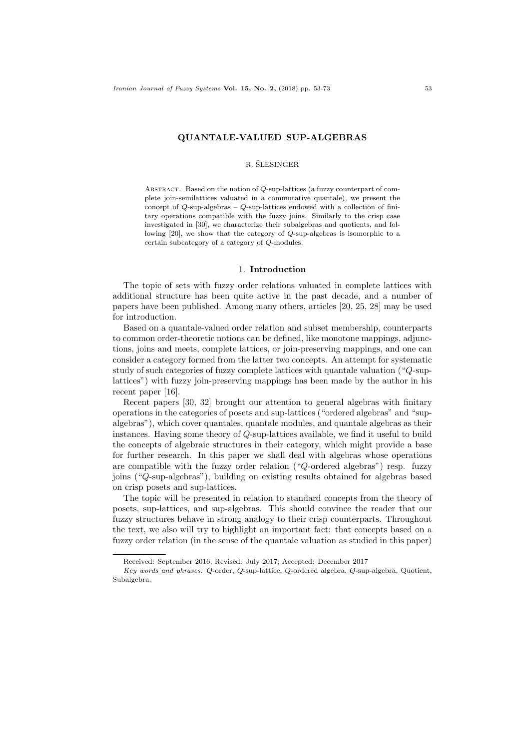## QUANTALE-VALUED SUP-ALGEBRAS

### R. ŠLESINGER

ABSTRACT. Based on the notion of  $Q$ -sup-lattices (a fuzzy counterpart of complete join-semilattices valuated in a commutative quantale), we present the concept of  $Q$ -sup-algebras –  $Q$ -sup-lattices endowed with a collection of finitary operations compatible with the fuzzy joins. Similarly to the crisp case investigated in [30], we characterize their subalgebras and quotients, and following [20], we show that the category of Q-sup-algebras is isomorphic to a certain subcategory of a category of Q-modules.

## 1. Introduction

The topic of sets with fuzzy order relations valuated in complete lattices with additional structure has been quite active in the past decade, and a number of papers have been published. Among many others, articles [20, 25, 28] may be used for introduction.

Based on a quantale-valued order relation and subset membership, counterparts to common order-theoretic notions can be defined, like monotone mappings, adjunctions, joins and meets, complete lattices, or join-preserving mappings, and one can consider a category formed from the latter two concepts. An attempt for systematic study of such categories of fuzzy complete lattices with quantale valuation ("Q-suplattices") with fuzzy join-preserving mappings has been made by the author in his recent paper [16].

Recent papers [30, 32] brought our attention to general algebras with finitary operations in the categories of posets and sup-lattices ("ordered algebras" and "supalgebras"), which cover quantales, quantale modules, and quantale algebras as their instances. Having some theory of Q-sup-lattices available, we find it useful to build the concepts of algebraic structures in their category, which might provide a base for further research. In this paper we shall deal with algebras whose operations are compatible with the fuzzy order relation ("Q-ordered algebras") resp. fuzzy joins ("Q-sup-algebras"), building on existing results obtained for algebras based on crisp posets and sup-lattices.

The topic will be presented in relation to standard concepts from the theory of posets, sup-lattices, and sup-algebras. This should convince the reader that our fuzzy structures behave in strong analogy to their crisp counterparts. Throughout the text, we also will try to highlight an important fact: that concepts based on a fuzzy order relation (in the sense of the quantale valuation as studied in this paper)

Received: September 2016; Revised: July 2017; Accepted: December 2017

Key words and phrases: Q-order, Q-sup-lattice, Q-ordered algebra, Q-sup-algebra, Quotient, Subalgebra.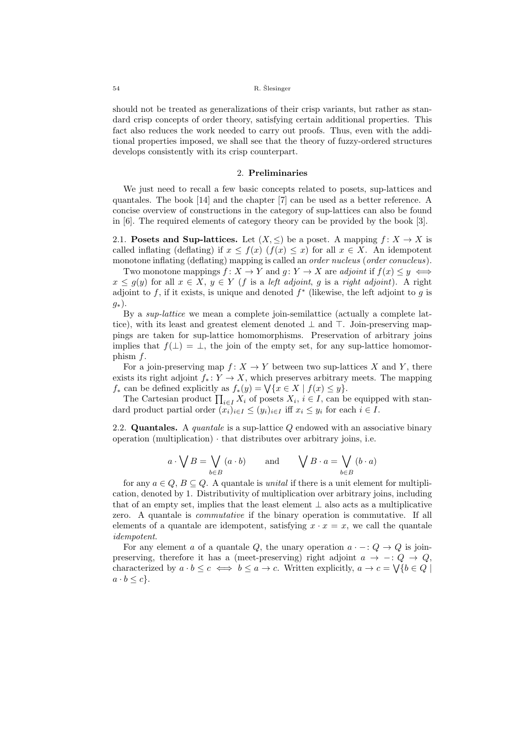should not be treated as generalizations of their crisp variants, but rather as standard crisp concepts of order theory, satisfying certain additional properties. This fact also reduces the work needed to carry out proofs. Thus, even with the additional properties imposed, we shall see that the theory of fuzzy-ordered structures develops consistently with its crisp counterpart.

## 2. Preliminaries

We just need to recall a few basic concepts related to posets, sup-lattices and quantales. The book [14] and the chapter [7] can be used as a better reference. A concise overview of constructions in the category of sup-lattices can also be found in [6]. The required elements of category theory can be provided by the book [3].

2.1. Posets and Sup-lattices. Let  $(X, \leq)$  be a poset. A mapping  $f: X \to X$  is called inflating (deflating) if  $x \leq f(x)$  ( $f(x) \leq x$ ) for all  $x \in X$ . An idempotent monotone inflating (deflating) mapping is called an *order nucleus* (*order conucleus*).

Two monotone mappings  $f: X \to Y$  and  $g: Y \to X$  are adjoint if  $f(x) \leq y \iff$  $x \leq q(y)$  for all  $x \in X$ ,  $y \in Y$  (f is a left adjoint, g is a right adjoint). A right adjoint to f, if it exists, is unique and denoted  $f^*$  (likewise, the left adjoint to g is  $g_*$ ).

By a sup-lattice we mean a complete join-semilattice (actually a complete lattice), with its least and greatest element denoted  $\perp$  and  $\top$ . Join-preserving mappings are taken for sup-lattice homomorphisms. Preservation of arbitrary joins implies that  $f(\perp) = \perp$ , the join of the empty set, for any sup-lattice homomorphism f.

For a join-preserving map  $f: X \to Y$  between two sup-lattices X and Y, there exists its right adjoint  $f_* : Y \to X$ , which preserves arbitrary meets. The mapping  $f_*$  can be defined explicitly as  $f_*(y) = \bigvee \{x \in X \mid f(x) \leq y\}.$ 

The Cartesian product  $\prod_{i\in I} X_i$  of posets  $X_i$ ,  $i \in I$ , can be equipped with standard product partial order  $(x_i)_{i\in I} \leq (y_i)_{i\in I}$  iff  $x_i \leq y_i$  for each  $i \in I$ .

2.2. **Quantales.** A *quantale* is a sup-lattice  $Q$  endowed with an associative binary operation (multiplication) · that distributes over arbitrary joins, i.e.

$$
a \cdot \bigvee B = \bigvee_{b \in B} (a \cdot b)
$$
 and  $\bigvee B \cdot a = \bigvee_{b \in B} (b \cdot a)$ 

for any  $a \in Q$ ,  $B \subseteq Q$ . A quantale is *unital* if there is a unit element for multiplication, denoted by 1. Distributivity of multiplication over arbitrary joins, including that of an empty set, implies that the least element  $\perp$  also acts as a multiplicative zero. A quantale is commutative if the binary operation is commutative. If all elements of a quantale are idempotent, satisfying  $x \cdot x = x$ , we call the quantale idempotent.

For any element a of a quantale Q, the unary operation  $a \cdot -: Q \to Q$  is joinpreserving, therefore it has a (meet-preserving) right adjoint  $a \to -: Q \to Q$ , characterized by  $a \cdot b \leq c \iff b \leq a \to c$ . Written explicitly,  $a \to c = \sqrt{b \in Q}$  $a \cdot b \leq c$ .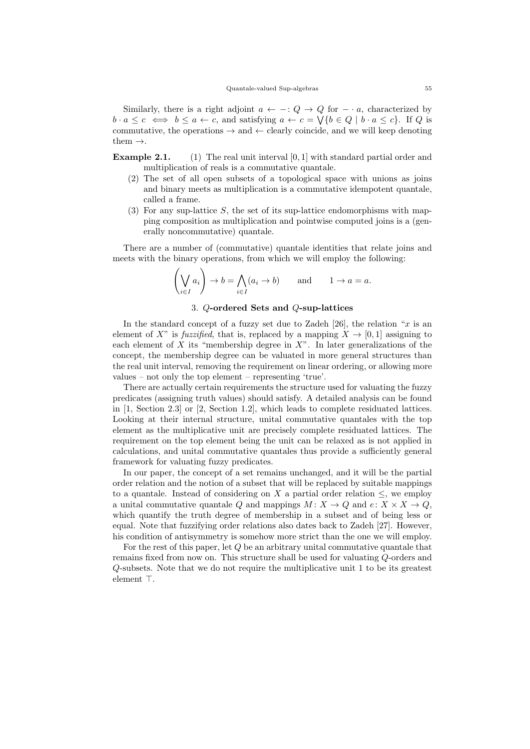Similarly, there is a right adjoint  $a \leftarrow -: Q \rightarrow Q$  for  $- \cdot a$ , characterized by  $b \cdot a \leq c \iff b \leq a \leftarrow c$ , and satisfying  $a \leftarrow c = \bigvee \{b \in Q \mid b \cdot a \leq c\}$ . If Q is commutative, the operations  $\rightarrow$  and  $\leftarrow$  clearly coincide, and we will keep denoting them  $\rightarrow$ .

**Example 2.1.** (1) The real unit interval  $[0, 1]$  with standard partial order and multiplication of reals is a commutative quantale.

- (2) The set of all open subsets of a topological space with unions as joins and binary meets as multiplication is a commutative idempotent quantale, called a frame.
- (3) For any sup-lattice  $S$ , the set of its sup-lattice endomorphisms with mapping composition as multiplication and pointwise computed joins is a (generally noncommutative) quantale.

There are a number of (commutative) quantale identities that relate joins and meets with the binary operations, from which we will employ the following:

$$
\left(\bigvee_{i\in I} a_i\right) \to b = \bigwedge_{i\in I} (a_i \to b) \quad \text{and} \quad 1 \to a = a.
$$

# 3. Q-ordered Sets and Q-sup-lattices

In the standard concept of a fuzzy set due to Zadeh  $[26]$ , the relation "x is an element of X" is *fuzzified*, that is, replaced by a mapping  $X \to [0, 1]$  assigning to each element of  $X$  its "membership degree in  $X$ ". In later generalizations of the concept, the membership degree can be valuated in more general structures than the real unit interval, removing the requirement on linear ordering, or allowing more values – not only the top element – representing 'true'.

There are actually certain requirements the structure used for valuating the fuzzy predicates (assigning truth values) should satisfy. A detailed analysis can be found in [1, Section 2.3] or [2, Section 1.2], which leads to complete residuated lattices. Looking at their internal structure, unital commutative quantales with the top element as the multiplicative unit are precisely complete residuated lattices. The requirement on the top element being the unit can be relaxed as is not applied in calculations, and unital commutative quantales thus provide a sufficiently general framework for valuating fuzzy predicates.

In our paper, the concept of a set remains unchanged, and it will be the partial order relation and the notion of a subset that will be replaced by suitable mappings to a quantale. Instead of considering on X a partial order relation  $\leq$ , we employ a unital commutative quantale Q and mappings  $M: X \to Q$  and  $e: X \times X \to Q$ , which quantify the truth degree of membership in a subset and of being less or equal. Note that fuzzifying order relations also dates back to Zadeh [27]. However, his condition of antisymmetry is somehow more strict than the one we will employ.

For the rest of this paper, let  $Q$  be an arbitrary unital commutative quantale that remains fixed from now on. This structure shall be used for valuating Q-orders and Q-subsets. Note that we do not require the multiplicative unit 1 to be its greatest element  $\top$ .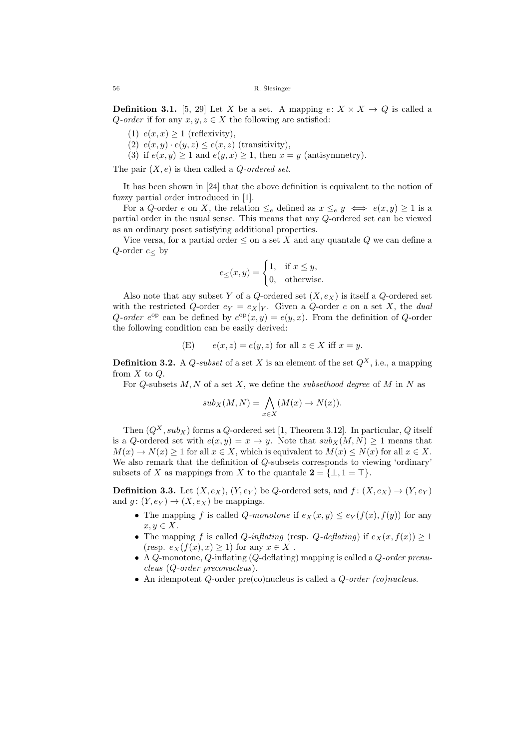**Definition 3.1.** [5, 29] Let X be a set. A mapping  $e: X \times X \rightarrow Q$  is called a Q-order if for any  $x, y, z \in X$  the following are satisfied:

- (1)  $e(x, x) \ge 1$  (reflexivity),
- (2)  $e(x, y) \cdot e(y, z) \leq e(x, z)$  (transitivity),
- (3) if  $e(x, y) \ge 1$  and  $e(y, x) \ge 1$ , then  $x = y$  (antisymmetry).

The pair  $(X, e)$  is then called a *Q*-ordered set.

It has been shown in [24] that the above definition is equivalent to the notion of fuzzy partial order introduced in [1].

For a Q-order e on X, the relation  $\leq_e$  defined as  $x \leq_e y \iff e(x, y) \geq 1$  is a partial order in the usual sense. This means that any Q-ordered set can be viewed as an ordinary poset satisfying additional properties.

Vice versa, for a partial order  $\leq$  on a set X and any quantale Q we can define a Q-order  $e<sub>0</sub>$ 

$$
e_{\leq}(x,y) = \begin{cases} 1, & \text{if } x \leq y, \\ 0, & \text{otherwise.} \end{cases}
$$

Also note that any subset Y of a Q-ordered set  $(X, e_X)$  is itself a Q-ordered set with the restricted Q-order  $e_Y = e_X|_Y$ . Given a Q-order e on a set X, the dual Q-order  $e^{\text{op}}$  can be defined by  $e^{\text{op}}(x, y) = e(y, x)$ . From the definition of Q-order the following condition can be easily derived:

(E) 
$$
e(x, z) = e(y, z)
$$
 for all  $z \in X$  iff  $x = y$ .

**Definition 3.2.** A *Q*-subset of a set X is an element of the set  $Q^X$ , i.e., a mapping from  $X$  to  $Q$ .

For  $Q$ -subsets  $M, N$  of a set  $X$ , we define the subsethood degree of  $M$  in  $N$  as

$$
sub_X(M, N) = \bigwedge_{x \in X} (M(x) \to N(x)).
$$

Then  $(Q^X, sub_X)$  forms a Q-ordered set [1, Theorem 3.12]. In particular, Q itself is a Q-ordered set with  $e(x, y) = x \rightarrow y$ . Note that  $sub_X(M, N) \ge 1$  means that  $M(x) \to N(x) > 1$  for all  $x \in X$ , which is equivalent to  $M(x) \leq N(x)$  for all  $x \in X$ . We also remark that the definition of Q-subsets corresponds to viewing 'ordinary' subsets of X as mappings from X to the quantale  $2 = \{\perp, 1 = \top\}.$ 

**Definition 3.3.** Let  $(X, e_X)$ ,  $(Y, e_Y)$  be Q-ordered sets, and  $f: (X, e_X) \rightarrow (Y, e_Y)$ and  $g: (Y, e_Y) \to (X, e_X)$  be mappings.

- The mapping f is called Q-monotone if  $e_X(x, y) \leq e_Y(f(x), f(y))$  for any  $x, y \in X$ .
- The mapping f is called Q-inflating (resp. Q-deflating) if  $e_X(x, f(x)) \geq 1$ (resp.  $e_X(f(x), x) \geq 1$ ) for any  $x \in X$ .
- A Q-monotone, Q-inflating  $(Q$ -deflating) mapping is called a  $Q$ -order prenucleus (Q-order preconucleus).
- An idempotent  $Q$ -order pre(co)nucleus is called a  $Q$ -order (co)nucleus.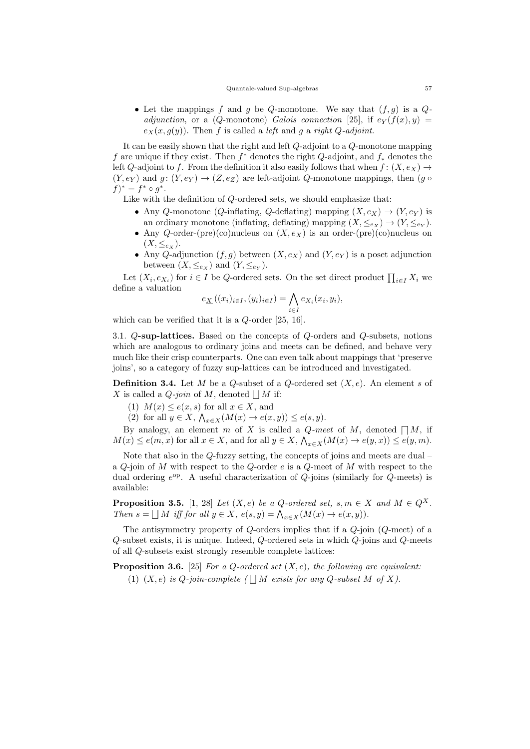• Let the mappings f and g be Q-monotone. We say that  $(f, g)$  is a  $Q$ adjunction, or a (Q-monotone) Galois connection [25], if  $e_Y(f(x), y) =$  $e_X(x, g(y))$ . Then f is called a *left* and g a right Q-adjoint.

It can be easily shown that the right and left Q-adjoint to a Q-monotone mapping f are unique if they exist. Then  $f^*$  denotes the right  $Q$ -adjoint, and  $f_*$  denotes the left Q-adjoint to f. From the definition it also easily follows that when  $f: (X, e_X) \rightarrow$  $(Y, e_Y)$  and  $g: (Y, e_Y) \to (Z, e_Z)$  are left-adjoint Q-monotone mappings, then  $(g \circ$  $f)^{*} = f^{*} \circ g^{*}.$ 

Like with the definition of Q-ordered sets, we should emphasize that:

- Any Q-monotone (Q-inflating, Q-deflating) mapping  $(X, e_X) \rightarrow (Y, e_Y)$  is an ordinary monotone (inflating, deflating) mapping  $(X, \leq_{e_X}) \to (Y, \leq_{e_Y})$ .
- Any Q-order-(pre)(co)nucleus on  $(X, e_X)$  is an order-(pre)(co)nucleus on  $(X, \leq_{e_X}).$
- Any Q-adjunction  $(f, g)$  between  $(X, e_X)$  and  $(Y, e_Y)$  is a poset adjunction between  $(X, \leq_{e_X})$  and  $(Y, \leq_{e_Y})$ .

Let  $(X_i, e_{X_i})$  for  $i \in I$  be Q-ordered sets. On the set direct product  $\prod_{i \in I} X_i$  we define a valuation

$$
e_{\underline{X}}((x_i)_{i\in I}, (y_i)_{i\in I}) = \bigwedge_{i\in I} e_{X_i}(x_i, y_i),
$$

which can be verified that it is a Q-order [25, 16].

3.1. Q-sup-lattices. Based on the concepts of Q-orders and Q-subsets, notions which are analogous to ordinary joins and meets can be defined, and behave very much like their crisp counterparts. One can even talk about mappings that 'preserve joins', so a category of fuzzy sup-lattices can be introduced and investigated.

**Definition 3.4.** Let M be a Q-subset of a Q-ordered set  $(X, e)$ . An element s of X is called a *Q-join* of M, denoted  $\Box M$  if:

(1)  $M(x) \leq e(x, s)$  for all  $x \in X$ , and

(2) for all  $y \in X$ ,  $\bigwedge_{x \in X} (M(x) \to e(x, y)) \le e(s, y)$ .

By analogy, an element m of X is called a  $Q$ -meet of M, denoted  $\Box M$ , if  $M(x) \le e(m, x)$  for all  $x \in X$ , and for all  $y \in X$ ,  $\bigwedge_{x \in X} (M(x) \to e(y, x)) \le e(y, m)$ .

Note that also in the Q-fuzzy setting, the concepts of joins and meets are dual – a  $Q$ -join of  $M$  with respect to the  $Q$ -order  $e$  is a  $Q$ -meet of  $M$  with respect to the dual ordering  $e^{op}$ . A useful characterization of  $Q$ -joins (similarly for  $Q$ -meets) is available:

**Proposition 3.5.** [1, 28] Let  $(X, e)$  be a Q-ordered set,  $s, m \in X$  and  $M \in Q^X$ . Then  $s = \bigsqcup M$  iff for all  $y \in X$ ,  $e(s, y) = \bigwedge_{x \in X} (M(x) \to e(x, y)).$ 

The antisymmetry property of  $Q$ -orders implies that if a  $Q$ -join  $(Q$ -meet) of a Q-subset exists, it is unique. Indeed, Q-ordered sets in which Q-joins and Q-meets of all Q-subsets exist strongly resemble complete lattices:

**Proposition 3.6.** [25] For a Q-ordered set  $(X, e)$ , the following are equivalent: (1)  $(X, e)$  is Q-join-complete  $(\Box M \text{ exists for any } Q\text{-subset } M \text{ of } X)$ .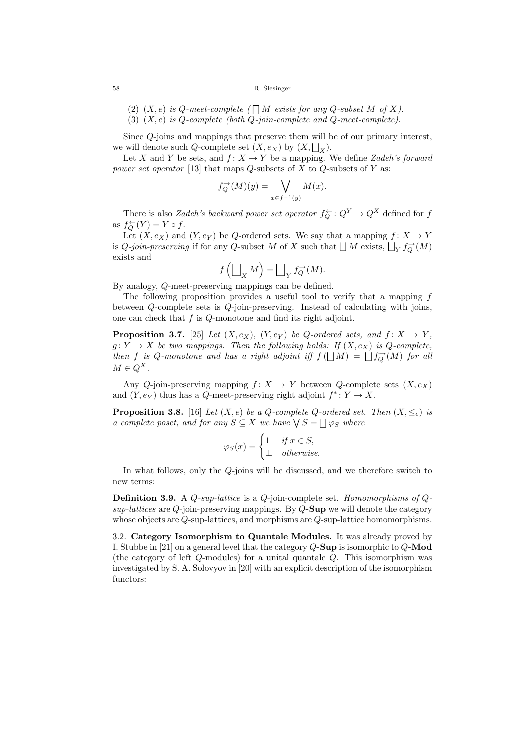- (2)  $(X, e)$  is Q-meet-complete ( $\bigcap M$  exists for any Q-subset M of X).
- (3)  $(X, e)$  is Q-complete (both Q-join-complete and Q-meet-complete).

Since Q-joins and mappings that preserve them will be of our primary interest, we will denote such Q-complete set  $(X, e_X)$  by  $(X, \bigsqcup_X)$ .

Let X and Y be sets, and  $f: X \to Y$  be a mapping. We define Zadeh's forward power set operator [13] that maps  $Q$ -subsets of  $X$  to  $Q$ -subsets of  $Y$  as:

$$
f_Q^{\to}(M)(y) = \bigvee_{x \in f^{-1}(y)} M(x).
$$

There is also *Zadeh's backward power set operator*  $f_Q^{\leftarrow} : Q^Y \to Q^X$  defined for f as  $f_Q^{\leftarrow}(Y) = Y \circ f$ .

Let  $(X, e_X)$  and  $(Y, e_Y)$  be Q-ordered sets. We say that a mapping  $f: X \to Y$ is  $Q$ -join-preserving if for any  $Q$ -subset M of X such that  $\bigsqcup M$  exists,  $\bigsqcup_Y f_Q^{\rightarrow}(M)$ exists and

$$
f\left(\bigsqcup_X M\right) = \bigsqcup_Y f_Q^{\rightarrow}(M).
$$

By analogy, Q-meet-preserving mappings can be defined.

The following proposition provides a useful tool to verify that a mapping f between Q-complete sets is Q-join-preserving. Instead of calculating with joins, one can check that  $f$  is  $Q$ -monotone and find its right adjoint.

**Proposition 3.7.** [25] Let  $(X, e_X)$ ,  $(Y, e_Y)$  be Q-ordered sets, and  $f: X \rightarrow Y$ ,  $g: Y \to X$  be two mappings. Then the following holds: If  $(X, e_X)$  is Q-complete, then f is Q-monotone and has a right adjoint iff  $f(\bigsqcup M) = \bigsqcup f_Q^{\rightarrow}(M)$  for all  $M \in Q^X$ .

Any Q-join-preserving mapping  $f: X \to Y$  between Q-complete sets  $(X, e_X)$ and  $(Y, e_Y)$  thus has a Q-meet-preserving right adjoint  $f^* \colon Y \to X$ .

**Proposition 3.8.** [16] Let  $(X, e)$  be a Q-complete Q-ordered set. Then  $(X, \leq_e)$  is a complete poset, and for any  $S \subseteq X$  we have  $\bigvee S = \bigsqcup \varphi_S$  where

$$
\varphi_S(x) = \begin{cases} 1 & \text{if } x \in S, \\ \perp & \text{otherwise.} \end{cases}
$$

In what follows, only the Q-joins will be discussed, and we therefore switch to new terms:

**Definition 3.9.** A  $Q$ -sup-lattice is a  $Q$ -join-complete set. Homomorphisms of  $Q$ sup-lattices are  $Q$ -join-preserving mappings. By  $Q$ -Sup we will denote the category whose objects are Q-sup-lattices, and morphisms are Q-sup-lattice homomorphisms.

3.2. Category Isomorphism to Quantale Modules. It was already proved by I. Stubbe in [21] on a general level that the category Q-Sup is isomorphic to Q-Mod (the category of left Q-modules) for a unital quantale Q. This isomorphism was investigated by S. A. Solovyov in [20] with an explicit description of the isomorphism functors: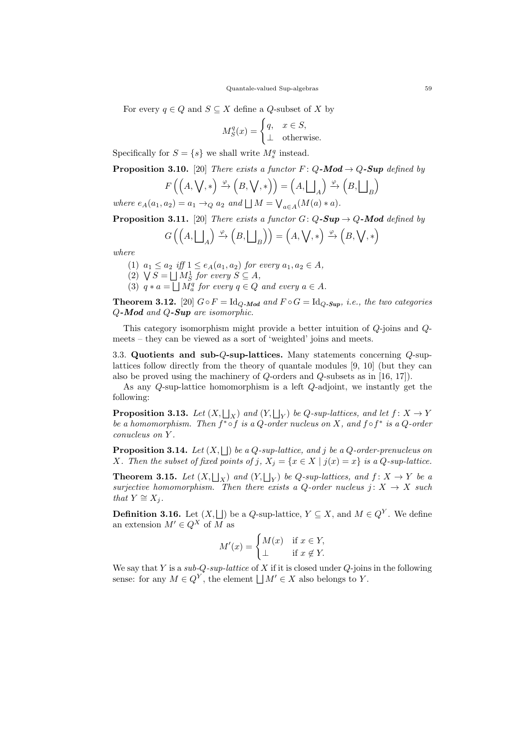For every  $q \in Q$  and  $S \subseteq X$  define a Q-subset of X by

$$
M_S^q(x) = \begin{cases} q, & x \in S, \\ \perp & \text{otherwise.} \end{cases}
$$

Specifically for  $S = \{s\}$  we shall write  $M_s^q$  instead.

**Proposition 3.10.** [20] There exists a functor  $F: Q$ -Mod  $\rightarrow Q$ -Sup defined by

$$
F\left(\left(A,\bigvee,*\right) \xrightarrow{\varphi} \left(B,\bigvee,*\right)\right) = \left(A,\bigsqcup_A\right) \xrightarrow{\varphi} \left(B,\bigsqcup_B\right)
$$

where  $e_A(a_1, a_2) = a_1 \rightarrow_Q a_2$  and  $\bigsqcup M = \bigvee_{a \in A} (M(a) * a)$ .

**Proposition 3.11.** [20] There exists a functor  $G: Q$ -Sup  $\rightarrow Q$ -Mod defined by

$$
G\left(\left(A, \bigsqcup_{A}\right) \xrightarrow{\varphi} \left(B, \bigsqcup_{B}\right)\right) = \left(A, \bigvee, *\right) \xrightarrow{\varphi} \left(B, \bigvee, *\right)
$$

where

- (1)  $a_1 \le a_2$  iff  $1 \le e_A(a_1, a_2)$  for every  $a_1, a_2 \in A$ ,
- (2)  $\bigvee S = \bigsqcup M_S^1$  for every  $S \subseteq A$ ,
- (3)  $q * a = \bigsqcup M_a^q$  for every  $q \in Q$  and every  $a \in A$ .

**Theorem 3.12.** [20]  $G \circ F = \text{Id}_{Q\text{-}Mod}$  and  $F \circ G = \text{Id}_{Q\text{-}Sup}, i.e.,$  the two categories Q-Mod and Q-Sup are isomorphic.

This category isomorphism might provide a better intuition of Q-joins and Qmeets – they can be viewed as a sort of 'weighted' joins and meets.

3.3. Quotients and sub-Q-sup-lattices. Many statements concerning Q-suplattices follow directly from the theory of quantale modules [9, 10] (but they can also be proved using the machinery of Q-orders and Q-subsets as in [16, 17]).

As any Q-sup-lattice homomorphism is a left Q-adjoint, we instantly get the following:

**Proposition 3.13.** Let  $(X, \bigsqcup_X)$  and  $(Y, \bigsqcup_Y)$  be Q-sup-lattices, and let  $f: X \to Y$ be a homomorphism. Then  $f^* \circ f$  is a Q-order nucleus on X, and  $f \circ f^*$  is a Q-order conucleus on Y .

**Proposition 3.14.** Let  $(X, \bigsqcup)$  be a Q-sup-lattice, and j be a Q-order-prenucleus on X. Then the subset of fixed points of j,  $X_j = \{x \in X \mid j(x) = x\}$  is a Q-sup-lattice.

**Theorem 3.15.** Let  $(X, \bigsqcup_X)$  and  $(Y, \bigsqcup_Y)$  be Q-sup-lattices, and  $f: X \to Y$  be a surjective homomorphism. Then there exists a Q-order nucleus  $j: X \rightarrow X$  such that  $Y \cong X_i$ .

**Definition 3.16.** Let  $(X, \Box)$  be a Q-sup-lattice,  $Y \subseteq X$ , and  $M \in Q^Y$ . We define an extension  $M' \in Q^X$  of  $\overline{M}$  as

$$
M'(x) = \begin{cases} M(x) & \text{if } x \in Y, \\ \perp & \text{if } x \notin Y. \end{cases}
$$

We say that Y is a sub-Q-sup-lattice of X if it is closed under Q-joins in the following sense: for any  $M \in Q^Y$ , the element  $\bigsqcup M' \in X$  also belongs to Y.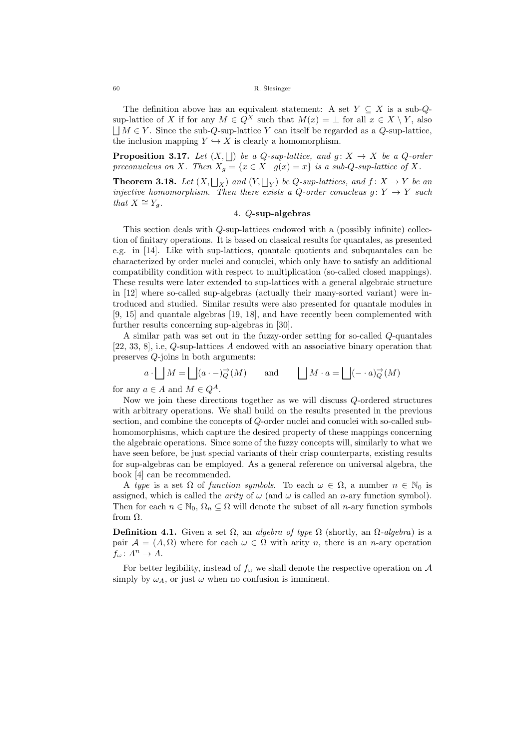The definition above has an equivalent statement: A set  $Y \subseteq X$  is a sub-Qsup-lattice of X if for any  $M \in Q^X$  such that  $M(x) = \bot$  for all  $x \in X \setminus Y$ , also  $\Box M \in Y$ . Since the sub-Q-sup-lattice Y can itself be regarded as a Q-sup-lattice, the inclusion mapping  $Y \hookrightarrow X$  is clearly a homomorphism.

**Proposition 3.17.** Let  $(X, \Box)$  be a Q-sup-lattice, and  $g: X \rightarrow X$  be a Q-order preconucleus on X. Then  $X_q = \{x \in X \mid g(x) = x\}$  is a sub-Q-sup-lattice of X.

**Theorem 3.18.** Let  $(X, \bigsqcup_X)$  and  $(Y, \bigsqcup_Y)$  be Q-sup-lattices, and  $f: X \to Y$  be an injective homomorphism. Then there exists a Q-order conucleus  $g: Y \to Y$  such that  $X \cong Y_g$ .

## 4. Q-sup-algebras

This section deals with Q-sup-lattices endowed with a (possibly infinite) collection of finitary operations. It is based on classical results for quantales, as presented e.g. in [14]. Like with sup-lattices, quantale quotients and subquantales can be characterized by order nuclei and conuclei, which only have to satisfy an additional compatibility condition with respect to multiplication (so-called closed mappings). These results were later extended to sup-lattices with a general algebraic structure in [12] where so-called sup-algebras (actually their many-sorted variant) were introduced and studied. Similar results were also presented for quantale modules in [9, 15] and quantale algebras [19, 18], and have recently been complemented with further results concerning sup-algebras in [30].

A similar path was set out in the fuzzy-order setting for so-called Q-quantales [22, 33, 8], i.e, Q-sup-lattices A endowed with an associative binary operation that preserves Q-joins in both arguments:

$$
a \cdot \Box M = \Box (a \cdot -) \overrightarrow{Q}(M)
$$
 and  $\Box M \cdot a = \Box (- \cdot a) \overrightarrow{Q}(M)$ 

for any  $a \in A$  and  $M \in Q^A$ .

Now we join these directions together as we will discuss Q-ordered structures with arbitrary operations. We shall build on the results presented in the previous section, and combine the concepts of Q-order nuclei and conuclei with so-called subhomomorphisms, which capture the desired property of these mappings concerning the algebraic operations. Since some of the fuzzy concepts will, similarly to what we have seen before, be just special variants of their crisp counterparts, existing results for sup-algebras can be employed. As a general reference on universal algebra, the book [4] can be recommended.

A type is a set  $\Omega$  of function symbols. To each  $\omega \in \Omega$ , a number  $n \in \mathbb{N}_0$  is assigned, which is called the *arity* of  $\omega$  (and  $\omega$  is called an *n*-ary function symbol). Then for each  $n \in \mathbb{N}_0$ ,  $\Omega_n \subseteq \Omega$  will denote the subset of all *n*-ary function symbols from Ω.

**Definition 4.1.** Given a set  $\Omega$ , an algebra of type  $\Omega$  (shortly, an  $\Omega$ -algebra) is a pair  $\mathcal{A} = (A, \Omega)$  where for each  $\omega \in \Omega$  with arity n, there is an n-ary operation  $f_{\omega}: A^{n} \to A.$ 

For better legibility, instead of  $f_{\omega}$  we shall denote the respective operation on A simply by  $\omega_A$ , or just  $\omega$  when no confusion is imminent.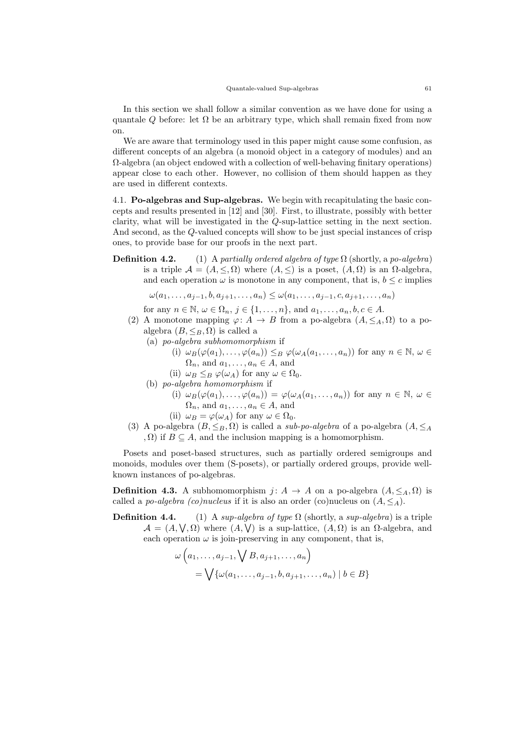In this section we shall follow a similar convention as we have done for using a quantale Q before: let  $\Omega$  be an arbitrary type, which shall remain fixed from now on.

We are aware that terminology used in this paper might cause some confusion, as different concepts of an algebra (a monoid object in a category of modules) and an  $\Omega$ -algebra (an object endowed with a collection of well-behaving finitary operations) appear close to each other. However, no collision of them should happen as they are used in different contexts.

4.1. Po-algebras and Sup-algebras. We begin with recapitulating the basic concepts and results presented in [12] and [30]. First, to illustrate, possibly with better clarity, what will be investigated in the Q-sup-lattice setting in the next section. And second, as the Q-valued concepts will show to be just special instances of crisp ones, to provide base for our proofs in the next part.

**Definition 4.2.** (1) A partially ordered algebra of type  $\Omega$  (shortly, a po-algebra) is a triple  $\mathcal{A} = (A, \leq, \Omega)$  where  $(A, \leq)$  is a poset,  $(A, \Omega)$  is an  $\Omega$ -algebra, and each operation  $\omega$  is monotone in any component, that is,  $b \leq c$  implies

$$
\omega(a_1, ..., a_{j-1}, b, a_{j+1}, ..., a_n) \leq \omega(a_1, ..., a_{j-1}, c, a_{j+1}, ..., a_n)
$$

for any  $n \in \mathbb{N}$ ,  $\omega \in \Omega_n$ ,  $j \in \{1, \ldots, n\}$ , and  $a_1, \ldots, a_n, b, c \in A$ .

- (2) A monotone mapping  $\varphi: A \to B$  from a po-algebra  $(A, \leq_A, \Omega)$  to a poalgebra  $(B, \leq_B, \Omega)$  is called a
	- (a) po-algebra subhomomorphism if
		- (i)  $\omega_B(\varphi(a_1), \ldots, \varphi(a_n)) \leq_B \varphi(\omega_A(a_1, \ldots, a_n))$  for any  $n \in \mathbb{N}, \omega \in$  $\Omega_n$ , and  $a_1, \ldots, a_n \in A$ , and
		- (ii)  $\omega_B \leq_B \varphi(\omega_A)$  for any  $\omega \in \Omega_0$ .
	- (b) po-algebra homomorphism if
		- (i)  $\omega_B(\varphi(a_1), \ldots, \varphi(a_n)) = \varphi(\omega_A(a_1, \ldots, a_n))$  for any  $n \in \mathbb{N}, \omega \in$  $\Omega_n$ , and  $a_1, \ldots, a_n \in A$ , and
		- (ii)  $\omega_B = \varphi(\omega_A)$  for any  $\omega \in \Omega_0$ .
- (3) A po-algebra  $(B, \leq_B, \Omega)$  is called a *sub-po-algebra* of a po-algebra  $(A, \leq_A)$ ,  $\Omega$ ) if  $B \subseteq A$ , and the inclusion mapping is a homomorphism.

Posets and poset-based structures, such as partially ordered semigroups and monoids, modules over them (S-posets), or partially ordered groups, provide wellknown instances of po-algebras.

**Definition 4.3.** A subhomomorphism  $j: A \rightarrow A$  on a po-algebra  $(A, \leq_A, \Omega)$  is called a po-algebra (co)nucleus if it is also an order (co)nucleus on  $(A, \leq_A)$ .

**Definition 4.4.** (1) A sup-algebra of type  $\Omega$  (shortly, a sup-algebra) is a triple  $\mathcal{A} = (A, \vee, \Omega)$  where  $(A, \vee)$  is a sup-lattice,  $(A, \Omega)$  is an  $\Omega$ -algebra, and each operation  $\omega$  is join-preserving in any component, that is,

$$
\omega\left(a_1,\ldots,a_{j-1},\bigvee B,a_{j+1},\ldots,a_n\right)
$$
  
=  $\bigvee \{\omega(a_1,\ldots,a_{j-1},b,a_{j+1},\ldots,a_n) \mid b \in B\}$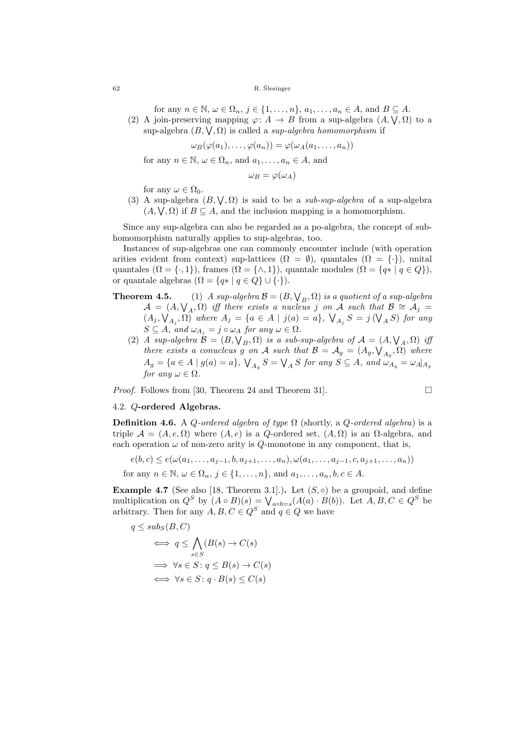for any  $n \in \mathbb{N}$ ,  $\omega \in \Omega_n$ ,  $j \in \{1, \ldots, n\}$ ,  $a_1, \ldots, a_n \in A$ , and  $B \subseteq A$ .

(2) A join-preserving mapping  $\varphi: A \to B$  from a sup-algebra  $(A, \vee, \Omega)$  to a sup-algebra  $(B, \vee, \Omega)$  is called a *sup-algebra homomorphism* if

$$
\omega_B(\varphi(a_1),\ldots,\varphi(a_n))=\varphi(\omega_A(a_1,\ldots,a_n))
$$

for any  $n \in \mathbb{N}$ ,  $\omega \in \Omega_n$ , and  $a_1, \ldots, a_n \in A$ , and

 $\omega_B = \varphi(\omega_A)$ 

for any  $\omega \in \Omega_0$ .

(3) A sup-algebra  $(B, \vee, \Omega)$  is said to be a *sub-sup-algebra* of a sup-algebra  $(A, \vee, \Omega)$  if  $B \subseteq A$ , and the inclusion mapping is a homomorphism.

Since any sup-algebra can also be regarded as a po-algebra, the concept of subhomomorphism naturally applies to sup-algebras, too.

Instances of sup-algebras one can commonly encounter include (with operation arities evident from context) sup-lattices  $(\Omega = \emptyset)$ , quantales  $(\Omega = {\cdot})$ , unital quantales  $(\Omega = \{\cdot, 1\})$ , frames  $(\Omega = \{\wedge, 1\})$ , quantale modules  $(\Omega = \{q * | q \in Q\})$ , or quantale algebras  $(\Omega = \{q \mid q \in Q\} \cup \{\cdot\}).$ 

- **Theorem 4.5.** (1) A sup-algebra  $\mathcal{B} = (B, \bigvee_B, \Omega)$  is a quotient of a sup-algebra  $\mathcal{A} = (A, \bigvee_A, \Omega)$  iff there exists a nucleus j on  $\tilde{A}$  such that  $\mathcal{B} \cong \mathcal{A}_j =$  $(A_j, \mathcal{V}_{A_j}, \Omega)$  where  $A_j = \{a \in A \mid j(a) = a\}, \mathcal{V}_{A_j} S = j(\mathcal{V}_{A} S)$  for any  $S \subseteq A$ , and  $\omega_{A_i} = j \circ \omega_A$  for any  $\omega \in \Omega$ .
	- (2) A sup-algebra  $\mathcal{B} = (B, \bigvee_B, \Omega)$  is a sub-sup-algebra of  $\mathcal{A} = (A, \bigvee_A, \Omega)$  if there exists a conucleus g on A such that  $\mathcal{B} = \mathcal{A}_g = (A_g, \mathcal{V}_{A_g}, \Omega)$  where  $A_g = \{a \in A \mid g(a) = a\}, \ \bigvee_{A_g} S = \bigvee_A S$  for any  $S \subseteq A$ , and  $\omega_{A_g} = \omega_A|_{A_g}$ for any  $\omega \in \Omega$ .

Proof. Follows from [30, Theorem 24 and Theorem 31].

$$
\Box
$$

# 4.2. Q-ordered Algebras.

**Definition 4.6.** A Q-ordered algebra of type  $\Omega$  (shortly, a Q-ordered algebra) is a triple  $\mathcal{A} = (A, e, \Omega)$  where  $(A, e)$  is a Q-ordered set,  $(A, \Omega)$  is an  $\Omega$ -algebra, and each operation  $\omega$  of non-zero arity is Q-monotone in any component, that is,

$$
e(b, c) \le e(\omega(a_1, ..., a_{j-1}, b, a_{j+1}, ..., a_n), \omega(a_1, ..., a_{j-1}, c, a_{j+1}, ..., a_n))
$$
  
for any  $n \in \mathbb{N}$ ,  $\omega \in \Omega_n$ ,  $j \in \{1, ..., n\}$ , and  $a_1, ..., a_n, b, c \in A$ .

**Example 4.7** (See also [18, Theorem 3.1].). Let  $(S, \circ)$  be a groupoid, and define multiplication on  $Q^S$  by  $(A \circ B)(s) = \bigvee_{a \circ b = s} (A(a) \cdot B(b))$ . Let  $A, B, C \in Q^S$  be arbitrary. Then for any  $A, B, C \in Q^S$  and  $q \in Q$  we have

$$
q \leq sub_S(B, C)
$$
  
\n
$$
\iff q \leq \bigwedge_{s \in S} (B(s) \to C(s))
$$
  
\n
$$
\iff \forall s \in S \colon q \leq B(s) \to C(s)
$$
  
\n
$$
\iff \forall s \in S \colon q \cdot B(s) \leq C(s)
$$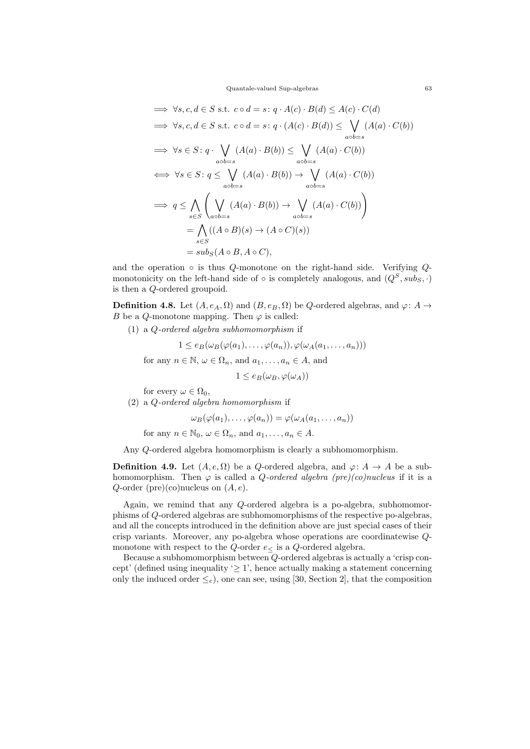Quantale-valued Sup-algebras 63

$$
\Rightarrow \forall s, c, d \in S \text{ s.t. } c \circ d = s : q \cdot A(c) \cdot B(d) \leq A(c) \cdot C(d)
$$
  

$$
\Rightarrow \forall s, c, d \in S \text{ s.t. } c \circ d = s : q \cdot (A(c) \cdot B(d)) \leq \bigvee_{a \circ b = s} (A(a) \cdot C(b))
$$
  

$$
\Rightarrow \forall s \in S : q \cdot \bigvee_{a \circ b = s} (A(a) \cdot B(b)) \leq \bigvee_{a \circ b = s} (A(a) \cdot C(b))
$$
  

$$
\Leftrightarrow \forall s \in S : q \leq \bigvee_{a \circ b = s} (A(a) \cdot B(b)) \rightarrow \bigvee_{a \circ b = s} (A(a) \cdot C(b))
$$
  

$$
\Rightarrow q \leq \bigwedge_{s \in S} \left( \bigvee_{a \circ b = s} (A(a) \cdot B(b)) \rightarrow \bigvee_{a \circ b = s} (A(a) \cdot C(b)) \right)
$$
  

$$
= \bigwedge_{s \in S} ((A \circ B)(s) \rightarrow (A \circ C)(s))
$$
  

$$
= sub_S(A \circ B, A \circ C),
$$

and the operation  $\circ$  is thus Q-monotone on the right-hand side. Verifying Qmonotonicity on the left-hand side of ◦ is completely analogous, and  $(Q^S, sub_S, \cdot)$ is then a Q-ordered groupoid.

**Definition 4.8.** Let  $(A, e_A, \Omega)$  and  $(B, e_B, \Omega)$  be Q-ordered algebras, and  $\varphi: A \to$ B be a Q-monotone mapping. Then  $\varphi$  is called:

(1) a Q-ordered algebra subhomomorphism if

 $1 \leq e_B(\omega_B(\varphi(a_1), \ldots, \varphi(a_n)), \varphi(\omega_A(a_1, \ldots, a_n)))$ for any  $n \in \mathbb{N}$ ,  $\omega \in \Omega_n$ , and  $a_1, \ldots, a_n \in A$ , and

 $1 \leq e_B(\omega_B, \varphi(\omega_A))$ 

- for every  $\omega \in \Omega_0$ ,
- (2) a Q-ordered algebra homomorphism if

 $\omega_B(\varphi(a_1),\ldots,\varphi(a_n))=\varphi(\omega_A(a_1,\ldots,a_n))$ 

for any  $n \in \mathbb{N}_0$ ,  $\omega \in \Omega_n$ , and  $a_1, \ldots, a_n \in A$ .

Any Q-ordered algebra homomorphism is clearly a subhomomorphism.

**Definition 4.9.** Let  $(A, e, \Omega)$  be a Q-ordered algebra, and  $\varphi: A \to A$  be a subhomomorphism. Then  $\varphi$  is called a *Q*-ordered algebra (pre)(co)nucleus if it is a Q-order (pre)(co)nucleus on  $(A, e)$ .

Again, we remind that any Q-ordered algebra is a po-algebra, subhomomorphisms of Q-ordered algebras are subhomomorphisms of the respective po-algebras, and all the concepts introduced in the definition above are just special cases of their crisp variants. Moreover, any po-algebra whose operations are coordinatewise Qmonotone with respect to the  $Q$ -order  $e<$  is a  $Q$ -ordered algebra.

Because a subhomomorphism between Q-ordered algebras is actually a 'crisp concept' (defined using inequality ' $\geq$  1', hence actually making a statement concerning only the induced order  $\leq_e$ ), one can see, using [30, Section 2], that the composition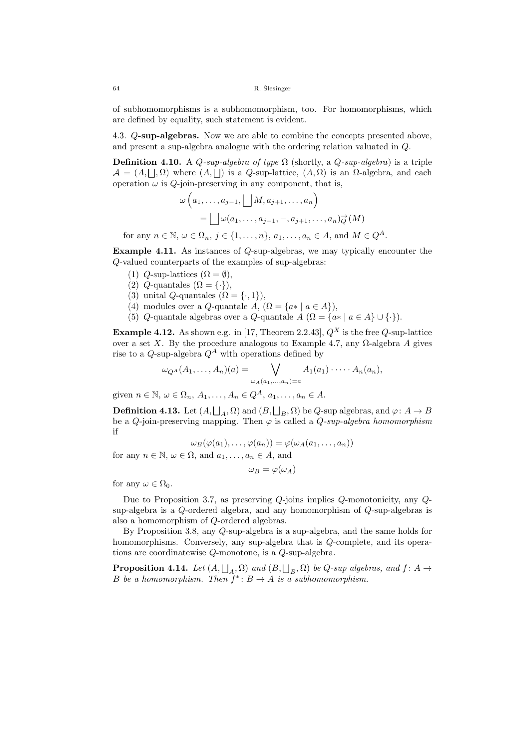of subhomomorphisms is a subhomomorphism, too. For homomorphisms, which are defined by equality, such statement is evident.

4.3. Q-sup-algebras. Now we are able to combine the concepts presented above, and present a sup-algebra analogue with the ordering relation valuated in Q.

**Definition 4.10.** A *Q-sup-algebra of type*  $\Omega$  (shortly, a *Q-sup-algebra*) is a triple  $\mathcal{A} = (A, \Box, \Omega)$  where  $(A, \Box)$  is a Q-sup-lattice,  $(A, \Omega)$  is an  $\Omega$ -algebra, and each operation  $\omega$  is Q-join-preserving in any component, that is,

$$
\omega\left(a_1, \ldots, a_{j-1}, \bigsqcup M, a_{j+1}, \ldots, a_n\right)
$$

$$
= \bigsqcup \omega(a_1, \ldots, a_{j-1}, -, a_{j+1}, \ldots, a_n) \overrightarrow{\varphi}(M)
$$
for any  $n \in \mathbb{N}$ ,  $\omega \in \Omega_n$ ,  $j \in \{1, \ldots, n\}$ ,  $a_1, \ldots, a_n \in A$ , and  $M \in Q^A$ .

Example 4.11. As instances of Q-sup-algebras, we may typically encounter the Q-valued counterparts of the examples of sup-algebras:

- (1)  $Q$ -sup-lattices  $(\Omega = \emptyset)$ ,
- (2)  $Q$ -quantales  $(\Omega = \{\cdot\}),$
- (3) unital *Q*-quantales  $(\Omega = \{\cdot, 1\})$ ,
- (4) modules over a Q-quantale  $A$ ,  $(\Omega = \{a * | a \in A\}),$
- (5) Q-quantale algebras over a Q-quantale  $A(\Omega = \{a * | a \in A\} \cup \{\cdot\}).$

**Example 4.12.** As shown e.g. in [17, Theorem 2.2.43],  $Q^X$  is the free  $Q$ -sup-lattice over a set X. By the procedure analogous to Example 4.7, any  $\Omega$ -algebra A gives rise to a Q-sup-algebra  $Q^A$  with operations defined by

$$
\omega_{Q^A}(A_1,\ldots,A_n)(a)=\bigvee_{\omega_A(a_1,\ldots,a_n)=a}A_1(a_1)\cdot\cdots\cdot A_n(a_n),
$$

given  $n \in \mathbb{N}$ ,  $\omega \in \Omega_n$ ,  $A_1, \ldots, A_n \in Q^A$ ,  $a_1, \ldots, a_n \in A$ .

**Definition 4.13.** Let  $(A, \bigsqcup_A, \Omega)$  and  $(B, \bigsqcup_B, \Omega)$  be  $Q$ -sup algebras, and  $\varphi: A \to B$ be a Q-join-preserving mapping. Then  $\varphi$  is called a  $Q\text{-}sup\text{-}algebra homomorphism$ if

$$
\omega_B(\varphi(a_1),\ldots,\varphi(a_n))=\varphi(\omega_A(a_1,\ldots,a_n))
$$

for any  $n \in \mathbb{N}$ ,  $\omega \in \Omega$ , and  $a_1, \ldots, a_n \in A$ , and

$$
\omega_B = \varphi(\omega_A)
$$

for any  $\omega \in \Omega_0$ .

Due to Proposition 3.7, as preserving Q-joins implies Q-monotonicity, any Qsup-algebra is a Q-ordered algebra, and any homomorphism of Q-sup-algebras is also a homomorphism of Q-ordered algebras.

By Proposition 3.8, any Q-sup-algebra is a sup-algebra, and the same holds for homomorphisms. Conversely, any sup-algebra that is Q-complete, and its operations are coordinatewise Q-monotone, is a Q-sup-algebra.

**Proposition 4.14.** Let  $(A, \bigsqcup_A, \Omega)$  and  $(B, \bigsqcup_B, \Omega)$  be Q-sup algebras, and  $f: A \rightarrow$ B be a homomorphism. Then  $f^*$ :  $B \to A$  is a subhomomorphism.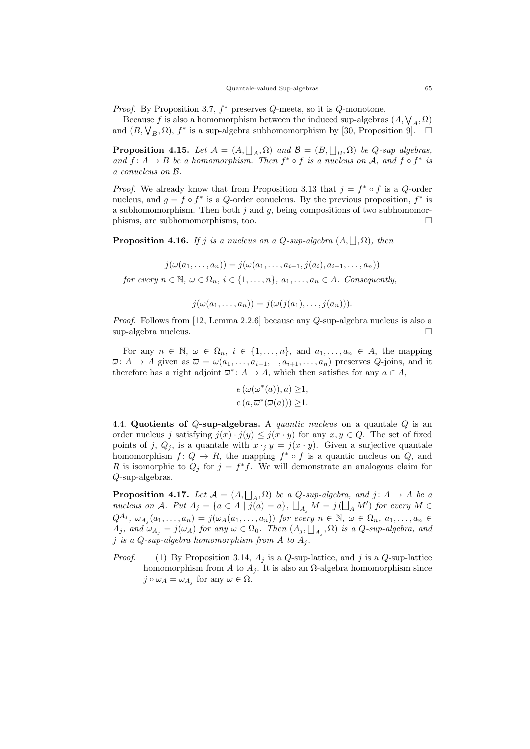*Proof.* By Proposition 3.7,  $f^*$  preserves  $Q$ -meets, so it is  $Q$ -monotone.

Because f is also a homomorphism between the induced sup-algebras  $(A, \mathcal{V}_A, \Omega)$ and  $(B, \bigvee_B, \Omega)$ ,  $f^*$  is a sup-algebra subhomomorphism by [30, Proposition 9].  $\Box$ 

**Proposition 4.15.** Let  $\mathcal{A} = (A, \bigsqcup_A, \Omega)$  and  $\mathcal{B} = (B, \bigsqcup_B, \Omega)$  be Q-sup algebras, and  $f: A \rightarrow B$  be a homomorphism. Then  $f^* \circ f$  is a nucleus on A, and  $f \circ f^*$  is a conucleus on B.

*Proof.* We already know that from Proposition 3.13 that  $j = f^* \circ f$  is a Q-order nucleus, and  $g = f \circ f^*$  is a Q-order conucleus. By the previous proposition,  $f^*$  is a subhomomorphism. Then both  $i$  and  $g$ , being compositions of two subhomomorphisms, are subhomomorphisms, too.

**Proposition 4.16.** If j is a nucleus on a Q-sup-algebra  $(A, \sqcup, \Omega)$ , then

$$
j(\omega(a_1,\ldots,a_n))=j(\omega(a_1,\ldots,a_{i-1},j(a_i),a_{i+1},\ldots,a_n))
$$

for every  $n \in \mathbb{N}$ ,  $\omega \in \Omega_n$ ,  $i \in \{1, \ldots, n\}$ ,  $a_1, \ldots, a_n \in A$ . Consequently,

 $j(\omega(a_1, \ldots, a_n)) = j(\omega(j(a_1), \ldots, j(a_n))).$ 

Proof. Follows from [12, Lemma 2.2.6] because any Q-sup-algebra nucleus is also a sup-algebra nucleus.

For any  $n \in \mathbb{N}$ ,  $\omega \in \Omega_n$ ,  $i \in \{1, \ldots, n\}$ , and  $a_1, \ldots, a_n \in A$ , the mapping  $\overline{\omega}$ :  $A \to A$  given as  $\overline{\omega} = \omega(a_1, \ldots, a_{i-1}, -, a_{i+1}, \ldots, a_n)$  preserves  $Q$ -joins, and it therefore has a right adjoint  $\overline{\omega}^*$ :  $A \to A$ , which then satisfies for any  $a \in A$ ,

$$
e(\overline{\omega}(\overline{\omega}^*(a)),a) \geq 1,
$$
  

$$
e(a,\overline{\omega}^*(\overline{\omega}(a))) \geq 1.
$$

4.4. Quotients of  $Q$ -sup-algebras. A *quantic nucleus* on a quantale  $Q$  is an order nucleus j satisfying  $j(x) \cdot j(y) \leq j(x \cdot y)$  for any  $x, y \in Q$ . The set of fixed points of j,  $Q_i$ , is a quantale with  $x \cdot j y = j(x \cdot y)$ . Given a surjective quantale homomorphism  $f: Q \to R$ , the mapping  $f^* \circ f$  is a quantic nucleus on  $Q$ , and R is isomorphic to  $Q_j$  for  $j = f^*f$ . We will demonstrate an analogous claim for Q-sup-algebras.

**Proposition 4.17.** Let  $\mathcal{A} = (A, \bigsqcup_A, \Omega)$  be a Q-sup-algebra, and  $j: A \to A$  be a nucleus on A. Put  $A_j = \{a \in A \mid j(a) = a\}, \bigsqcup_{A_j} M = j(\bigsqcup_A M')$  for every  $M \in$  $Q^{A_j}, \ \omega_{A_j}(a_1,\ldots,a_n) = j(\omega_A(a_1,\ldots,a_n))$  for every  $n \in \mathbb{N}, \ \omega \in \Omega_n, \ a_1,\ldots,a_n \in$  $A_j$ , and  $\omega_{A_j} = j(\omega_A)$  for any  $\omega \in \Omega_0$ . Then  $(A_j, \bigsqcup_{A_j}, \Omega)$  is a  $Q$ -sup-algebra, and j is a Q-sup-algebra homomorphism from A to  $A_i$ .

*Proof.* (1) By Proposition 3.14,  $A_j$  is a Q-sup-lattice, and j is a Q-sup-lattice homomorphism from A to  $A_j$ . It is also an  $\Omega$ -algebra homomorphism since  $j \circ \omega_A = \omega_{A_j}$  for any  $\omega \in \Omega$ .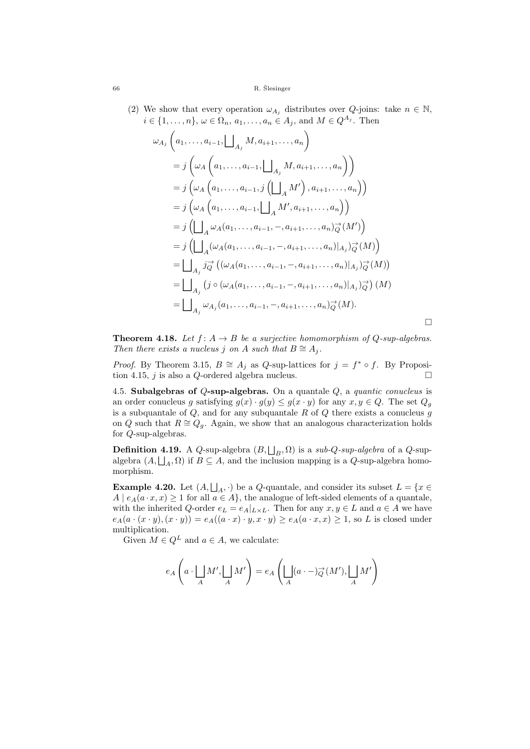(2) We show that every operation  $\omega_{A_i}$  distributes over  $Q$ -joins: take  $n \in \mathbb{N}$ ,  $i \in \{1, \ldots, n\}, \, \omega \in \Omega_n, \, a_1, \ldots, a_n \in A_j, \, \text{and } M \in Q^{A_j}.$  Then

$$
\omega_{A_j}\left(a_1, \ldots, a_{i-1}, \bigsqcup_{A_j} M, a_{i+1}, \ldots, a_n\right)
$$
  
=  $j\left(\omega_A\left(a_1, \ldots, a_{i-1}, \bigsqcup_{A_j} M, a_{i+1}, \ldots, a_n\right)\right)$   
=  $j\left(\omega_A\left(a_1, \ldots, a_{i-1}, j\left(\bigsqcup_{A} M'\right), a_{i+1}, \ldots, a_n\right)\right)$   
=  $j\left(\omega_A\left(a_1, \ldots, a_{i-1}, \bigsqcup_{A} M', a_{i+1}, \ldots, a_n\right)\right)$   
=  $j\left(\bigsqcup_{A} \omega_A(a_1, \ldots, a_{i-1}, -, a_{i+1}, \ldots, a_n)\overrightarrow{q}(M')\right)$   
=  $j\left(\bigsqcup_{A} (\omega_A(a_1, \ldots, a_{i-1}, -, a_{i+1}, \ldots, a_n)|_{A_j})\overrightarrow{q}(M)\right)$   
=  $\bigsqcup_{A_j} j\overrightarrow{q}\left((\omega_A(a_1, \ldots, a_{i-1}, -, a_{i+1}, \ldots, a_n)|_{A_j})\overrightarrow{q}(M)\right)$   
=  $\bigsqcup_{A_j} (j \circ (\omega_A(a_1, \ldots, a_{i-1}, -, a_{i+1}, \ldots, a_n)|_{A_j})\overrightarrow{q}(M)$   
=  $\bigsqcup_{A_j} \omega_{A_j}(a_1, \ldots, a_{i-1}, -, a_{i+1}, \ldots, a_n)\overrightarrow{q}(M).$ 

**Theorem 4.18.** Let  $f: A \rightarrow B$  be a surjective homomorphism of Q-sup-algebras. Then there exists a nucleus j on A such that  $B \cong A_i$ .

 $\Box$ 

*Proof.* By Theorem 3.15,  $B \cong A_j$  as Q-sup-lattices for  $j = f^* \circ f$ . By Proposition 4.15, j is also a Q-ordered algebra nucleus.  $\Box$ 

4.5. Subalgebras of  $Q$ -sup-algebras. On a quantale  $Q$ , a *quantic conucleus* is an order conucleus g satisfying  $g(x) \cdot g(y) \leq g(x \cdot y)$  for any  $x, y \in Q$ . The set  $Q_g$ is a subquantale of  $Q$ , and for any subquantale  $R$  of  $Q$  there exists a conucleus  $g$ on Q such that  $R \cong Q_q$ . Again, we show that an analogous characterization holds for Q-sup-algebras.

**Definition 4.19.** A Q-sup-algebra  $(B, \bigsqcup_B, \Omega)$  is a sub-Q-sup-algebra of a Q-supalgebra  $(A, \bigsqcup_A, \Omega)$  if  $B \subseteq A$ , and the inclusion mapping is a Q-sup-algebra homomorphism.

**Example 4.20.** Let  $(A, \bigsqcup_A, \cdot)$  be a Q-quantale, and consider its subset  $L = \{x \in \mathbb{R}^d : |A| \leq R\}$  $A \mid e_A(a \cdot x, x) \ge 1$  for all  $a \in A$ , the analogue of left-sided elements of a quantale, with the inherited Q-order  $e_L = e_A|_{L \times L}$ . Then for any  $x, y \in L$  and  $a \in A$  we have  $e_A(a \cdot (x \cdot y), (x \cdot y)) = e_A((a \cdot x) \cdot y, x \cdot y) \ge e_A(a \cdot x, x) \ge 1$ , so L is closed under multiplication.

Given  $M \in Q^L$  and  $a \in A$ , we calculate:

$$
e_A\left(a \cdot \bigsqcup_A M', \bigsqcup_A M'\right) = e_A\left(\bigsqcup_A (a \cdot -)_{Q}^{\rightarrow}(M'), \bigsqcup_A M'\right)
$$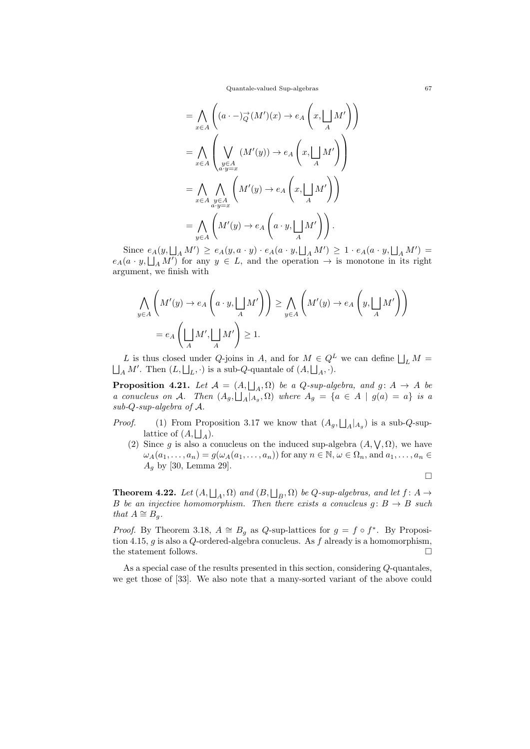Quantale-valued Sup-algebras 67

$$
= \bigwedge_{x \in A} \left( (a \cdot -) \overrightarrow{\phi}(M')(x) \to e_A \left( x, \bigsqcup_M M' \right) \right)
$$
  

$$
= \bigwedge_{x \in A} \left( \bigvee_{\substack{y \in A \\ a \cdot y = x}} (M'(y)) \to e_A \left( x, \bigsqcup_A M' \right) \right)
$$
  

$$
= \bigwedge_{x \in A} \bigwedge_{\substack{y \in A \\ a \cdot y = x}} \left( M'(y) \to e_A \left( x, \bigsqcup_A M' \right) \right)
$$
  

$$
= \bigwedge_{y \in A} \left( M'(y) \to e_A \left( a \cdot y, \bigsqcup_A M' \right) \right).
$$

Since  $e_A(y, \Box_A M') \ge e_A(y, a \cdot y) \cdot e_A(a \cdot y, \Box_A M') \ge 1 \cdot e_A(a \cdot y, \Box_A M') =$  $e_A(a \cdot y, \Box_A M')$  for any  $y \in L$ , and the operation  $\rightarrow$  is monotone in its right argument, we finish with

$$
\bigwedge_{y \in A} \left( M'(y) \to e_A \left( a \cdot y, \bigsqcup_A M' \right) \right) \ge \bigwedge_{y \in A} \left( M'(y) \to e_A \left( y, \bigsqcup_A M' \right) \right)
$$
  
=  $e_A \left( \bigsqcup_A M', \bigsqcup_A M' \right) \ge 1.$ 

L is thus closed under Q-joins in A, and for  $M \in Q^L$  we can define  $\bigsqcup_L M = \bigsqcup_A M'$ . Then  $(L, \bigsqcup_L, \cdot)$  is a sub-Q-quantale of  $(A, \bigsqcup_A, \cdot)$ .

**Proposition 4.21.** Let  $\mathcal{A} = (A, \bigsqcup_A, \Omega)$  be a Q-sup-algebra, and  $g: A \rightarrow A$  be a conucleus on A. Then  $(A_g, \bigsqcup_A |_{A_g}, \Omega)$  where  $A_g = \{a \in A \mid g(a) = a\}$  is a sub-Q-sup-algebra of A.

- *Proof.* (1) From Proposition 3.17 we know that  $(A_g, \Box_A | A_g)$  is a sub-Q-suplattice of  $(A, \bigsqcup_A)$ .
	- (2) Since g is also a conucleus on the induced sup-algebra  $(A, \vee, \Omega)$ , we have  $\omega_A(a_1,\ldots,a_n)=g(\omega_A(a_1,\ldots,a_n))$  for any  $n\in\mathbb{N}, \omega\in\Omega_n$ , and  $a_1,\ldots,a_n\in\mathbb{N}$  $A_q$  by [30, Lemma 29].

$$
\Box
$$

**Theorem 4.22.** Let  $(A, \bigsqcup_A, \Omega)$  and  $(B, \bigsqcup_B, \Omega)$  be Q-sup-algebras, and let  $f: A \rightarrow$ B be an injective homomorphism. Then there exists a conucleus  $g: B \to B$  such that  $A \cong B_q$ .

*Proof.* By Theorem 3.18,  $A \cong B_g$  as Q-sup-lattices for  $g = f \circ f^*$ . By Proposition 4.15,  $g$  is also a  $Q$ -ordered-algebra conucleus. As  $f$  already is a homomorphism, the statement follows.  $\Box$ 

As a special case of the results presented in this section, considering Q-quantales, we get those of [33]. We also note that a many-sorted variant of the above could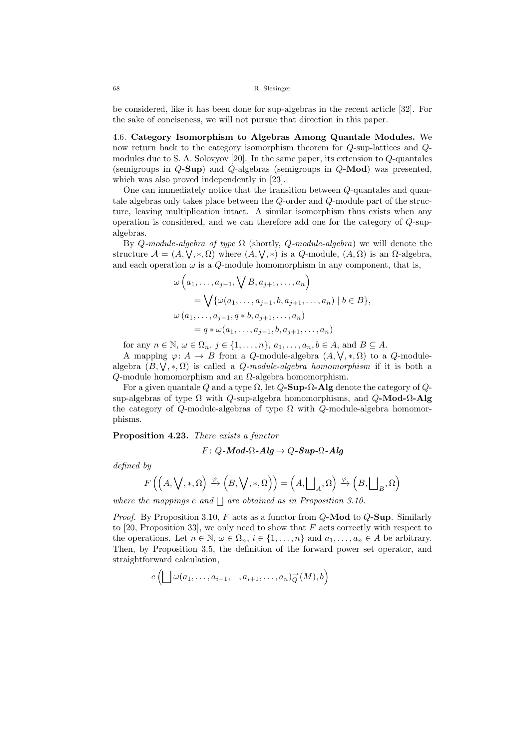be considered, like it has been done for sup-algebras in the recent article [32]. For the sake of conciseness, we will not pursue that direction in this paper.

4.6. Category Isomorphism to Algebras Among Quantale Modules. We now return back to the category isomorphism theorem for Q-sup-lattices and Qmodules due to S. A. Solovyov [20]. In the same paper, its extension to Q-quantales (semigroups in Q-Sup) and Q-algebras (semigroups in Q-Mod) was presented, which was also proved independently in [23].

One can immediately notice that the transition between Q-quantales and quantale algebras only takes place between the Q-order and Q-module part of the structure, leaving multiplication intact. A similar isomorphism thus exists when any operation is considered, and we can therefore add one for the category of Q-supalgebras.

By Q-module-algebra of type  $\Omega$  (shortly, Q-module-algebra) we will denote the structure  $\mathcal{A} = (A, \bigvee, \ast, \Omega)$  where  $(A, \bigvee, \ast)$  is a Q-module,  $(A, \Omega)$  is an  $\Omega$ -algebra, and each operation  $\omega$  is a Q-module homomorphism in any component, that is,

$$
\omega\left(a_1, \ldots, a_{j-1}, \bigvee B, a_{j+1}, \ldots, a_n\right)
$$
  
=  $\bigvee \{\omega(a_1, \ldots, a_{j-1}, b, a_{j+1}, \ldots, a_n) \mid b \in B\},\$   

$$
\omega(a_1, \ldots, a_{j-1}, q * b, a_{j+1}, \ldots, a_n)
$$
  
=  $q * \omega(a_1, \ldots, a_{j-1}, b, a_{j+1}, \ldots, a_n)$ 

for any  $n \in \mathbb{N}, \omega \in \Omega_n, j \in \{1, \ldots, n\}, a_1, \ldots, a_n, b \in A$ , and  $B \subseteq A$ .

A mapping  $\varphi: A \to B$  from a *Q*-module-algebra  $(A, \vee, \ast, \Omega)$  to a *Q*-modulealgebra  $(B, \vee, \ast, \Omega)$  is called a *Q*-module-algebra homomorphism if it is both a Q-module homomorphism and an Ω-algebra homomorphism.

For a given quantale Q and a type  $\Omega$ , let  $Q$ -**Sup-** $\Omega$ -**Alg** denote the category of  $Q$ sup-algebras of type  $\Omega$  with Q-sup-algebra homomorphisms, and  $Q\text{-Mod-}\Omega\text{-Alg}$ the category of Q-module-algebras of type  $\Omega$  with Q-module-algebra homomorphisms.

Proposition 4.23. There exists a functor

$$
F: Q\text{-}\textit{Mod-}\Omega\text{-}\textit{Alg} \to Q\text{-}\textit{Sup-}\Omega\text{-}\textit{Alg}
$$

defined by

$$
F\left(\left(A,\bigvee,*,\Omega\right)\xrightarrow{\varphi}\left(B,\bigvee,*,\Omega\right)\right)=\left(A,\bigsqcup_A,\Omega\right)\xrightarrow{\varphi}\left(B,\bigsqcup_B,\Omega\right)
$$

where the mappings  $e$  and  $\Box$  are obtained as in Proposition 3.10.

*Proof.* By Proposition 3.10, F acts as a functor from  $Q$ -Mod to  $Q$ -Sup. Similarly to [20, Proposition 33], we only need to show that  $F$  acts correctly with respect to the operations. Let  $n \in \mathbb{N}$ ,  $\omega \in \Omega_n$ ,  $i \in \{1, \ldots, n\}$  and  $a_1, \ldots, a_n \in A$  be arbitrary. Then, by Proposition 3.5, the definition of the forward power set operator, and straightforward calculation,

$$
e\left(\bigsqcup \omega(a_1,\ldots,a_{i-1},-,a_{i+1},\ldots,a_n)\overrightarrow{Q}(M),b\right)
$$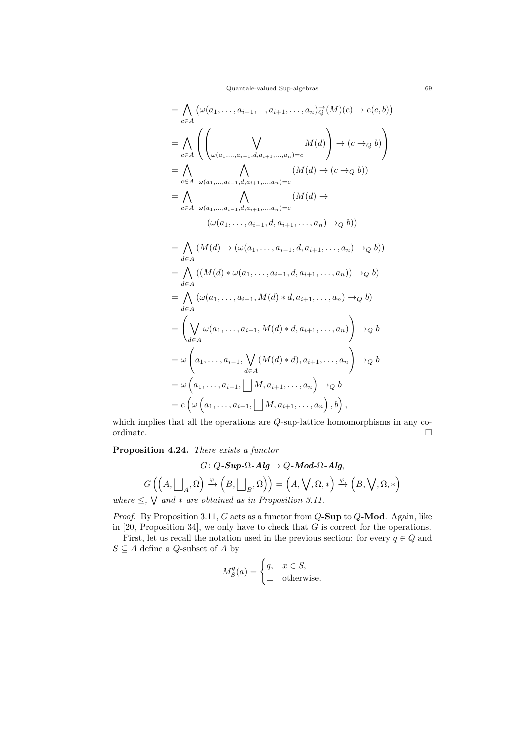Quantale-valued Sup-algebras 69

$$
= \bigwedge_{c \in A} (\omega(a_1, ..., a_{i-1}, -, a_{i+1}, ..., a_n) \overrightarrow{\phi}(M)(c) \rightarrow e(c, b))
$$
\n
$$
= \bigwedge_{c \in A} \left( \bigvee_{\omega(a_1, ..., a_{i-1}, d, a_{i+1}, ..., a_n) = c} M(d) \right) \rightarrow (c \rightarrow_Q b)
$$
\n
$$
= \bigwedge_{c \in A} \bigwedge_{\omega(a_1, ..., a_{i-1}, d, a_{i+1}, ..., a_n) = c} (M(d) \rightarrow (c \rightarrow_Q b))
$$
\n
$$
= \bigwedge_{c \in A} \bigwedge_{\omega(a_1, ..., a_{i-1}, d, a_{i+1}, ..., a_n) = c} (M(d) \rightarrow (c \rightarrow_Q b))
$$
\n
$$
= \bigwedge_{d \in A} (M(d) \rightarrow (\omega(a_1, ..., a_{i-1}, d, a_{i+1}, ..., a_n) \rightarrow_Q b))
$$
\n
$$
= \bigwedge_{d \in A} ((M(d) \rightarrow (\omega(a_1, ..., a_{i-1}, d, a_{i+1}, ..., a_n) \rightarrow_Q b))
$$
\n
$$
= \bigwedge_{d \in A} ((\omega(a_1, ..., a_{i-1}, M(d) * d, a_{i+1}, ..., a_n) \rightarrow_Q b)
$$
\n
$$
= \bigwedge_{d \in A} (\omega(a_1, ..., a_{i-1}, M(d) * d, a_{i+1}, ..., a_n) \rightarrow_Q b
$$
\n
$$
= \bigwedge_{d \in A} (\omega(a_1, ..., a_{i-1}, M(d) * d, a_{i+1}, ..., a_n) \rightarrow_Q b
$$
\n
$$
= \omega \left(a_1, ..., a_{i-1}, \bigcup_{d \in A} (M(d) * d), a_{i+1}, ..., a_n \right) \rightarrow_Q b
$$
\n
$$
= e \left( \omega \left(a_1, ..., a_{i-1}, \bigcup_{d \in A} M, a_{i+1}, ..., a_n \right), b \right),
$$

which implies that all the operations are  $Q\text{-}\mathrm{sup}\text{-}\mathrm{lattice}$  homomorphisms in any coordinate.  $\hfill\Box$ ordinate.  $\Box$ 

Proposition 4.24. There exists a functor

$$
G: Q\text{-}Sup\text{-}\Omega\text{-}Alg \to Q\text{-}Mod\text{-}\Omega\text{-}Alg,
$$

$$
G\left(\left(A, \bigsqcup_{A} \Omega\right) \xrightarrow{\varphi} \left(B, \bigsqcup_{B} \Omega\right)\right) = \left(A, \bigvee, \Omega, *\right) \xrightarrow{\varphi} \left(B, \bigvee, \Omega, *\right)
$$

where  $\leq$ ,  $\vee$  and  $*$  are obtained as in Proposition 3.11.

*Proof.* By Proposition 3.11,  $G$  acts as a functor from  $Q$ -Sup to  $Q$ -Mod. Again, like in  $[20,$  Proposition 34], we only have to check that  $G$  is correct for the operations.

First, let us recall the notation used in the previous section: for every  $q \in Q$  and  $S \subseteq A$  define a  $Q\text{-subset}$  of  $A$  by

$$
M_S^q(a) = \begin{cases} q, & x \in S, \\ \perp & \text{otherwise.} \end{cases}
$$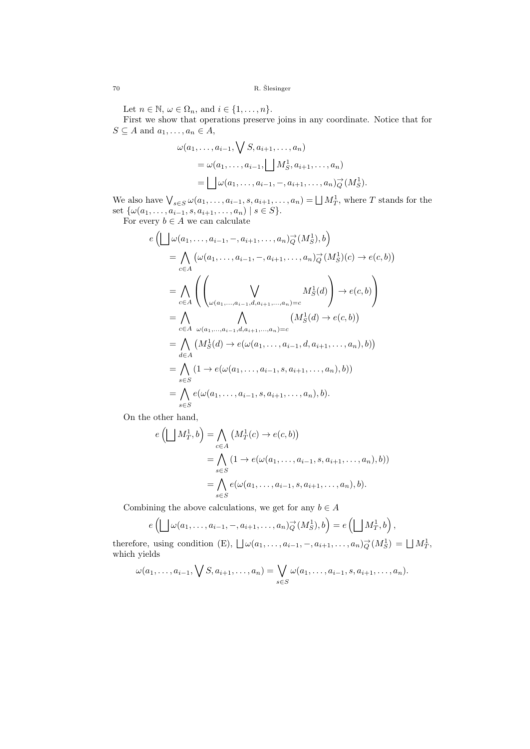Let  $n \in \mathbb{N}$ ,  $\omega \in \Omega_n$ , and  $i \in \{1, \ldots, n\}$ .

First we show that operations preserve joins in any coordinate. Notice that for  $S \subseteq A$  and  $a_1, \ldots, a_n \in A$ ,

$$
\omega(a_1, \ldots, a_{i-1}, \bigvee S, a_{i+1}, \ldots, a_n)
$$
  
= 
$$
\omega(a_1, \ldots, a_{i-1}, \bigsqcup M_S^1, a_{i+1}, \ldots, a_n)
$$
  
= 
$$
\bigsqcup \omega(a_1, \ldots, a_{i-1}, -, a_{i+1}, \ldots, a_n) \overrightarrow{\phi}(M_S^1).
$$

We also have  $\bigvee_{s \in S} \omega(a_1, \ldots, a_{i-1}, s, a_{i+1}, \ldots, a_n) = \bigsqcup M_T^1$ , where T stands for the set  $\{\omega(a_1, \ldots, a_{i-1}, s, a_{i+1}, \ldots, a_n) \mid s \in S\}.$ 

For every  $b \in A$  we can calculate

$$
e\left(\bigsqcup_{\omega}(a_{1},...,a_{i-1},-,a_{i+1},...,a_{n})_{Q}^{-}(M_{S}^{1}),b\right)
$$
\n
$$
=\bigwedge_{c\in A}\left(\omega(a_{1},...,a_{i-1},-,a_{i+1},...,a_{n})_{Q}^{-}(M_{S}^{1})(c)\to e(c,b)\right)
$$
\n
$$
=\bigwedge_{c\in A}\left(\left(\bigvee_{\omega(a_{1},...,a_{i-1},d,a_{i+1},...,a_{n})=c}M_{S}^{1}(d)\right)\to e(c,b)\right)
$$
\n
$$
=\bigwedge_{c\in A}\bigwedge_{\omega(a_{1},...,a_{i-1},d,a_{i+1},...,a_{n})=c}\left(M_{S}^{1}(d)\to e(c,b)\right)
$$
\n
$$
=\bigwedge_{d\in A}\left(M_{S}^{1}(d)\to e(\omega(a_{1},...,a_{i-1},d,a_{i+1},...,a_{n}),b)\right)
$$
\n
$$
=\bigwedge_{s\in S}(1\to e(\omega(a_{1},...,a_{i-1},s,a_{i+1},...,a_{n}),b))
$$
\n
$$
=\bigwedge_{s\in S}e(\omega(a_{1},...,a_{i-1},s,a_{i+1},...,a_{n}),b).
$$

On the other hand,

$$
e\left(\bigsqcup M_T^1, b\right) = \bigwedge_{c \in A} \left(M_T^1(c) \to e(c, b)\right)
$$
  
= 
$$
\bigwedge_{s \in S} \left(1 \to e(\omega(a_1, \dots, a_{i-1}, s, a_{i+1}, \dots, a_n), b)\right)
$$
  
= 
$$
\bigwedge_{s \in S} e(\omega(a_1, \dots, a_{i-1}, s, a_{i+1}, \dots, a_n), b).
$$

Combining the above calculations, we get for any  $b \in A$ 

$$
e\left(\bigsqcup \omega(a_1,\ldots,a_{i-1},-,a_{i+1},\ldots,a_n)\overrightarrow{Q}(M_S^1),b\right)=e\left(\bigsqcup M_T^1,b\right),
$$

therefore, using condition (E),  $\bigcup \omega(a_1, \ldots, a_{i-1}, -, a_{i+1}, \ldots, a_n)$   $\overrightarrow{Q}(M_S^1) = \bigcup M_T^1$ , which yields

$$
\omega(a_1, ..., a_{i-1}, \bigvee S, a_{i+1}, ..., a_n) = \bigvee_{s \in S} \omega(a_1, ..., a_{i-1}, s, a_{i+1}, ..., a_n).
$$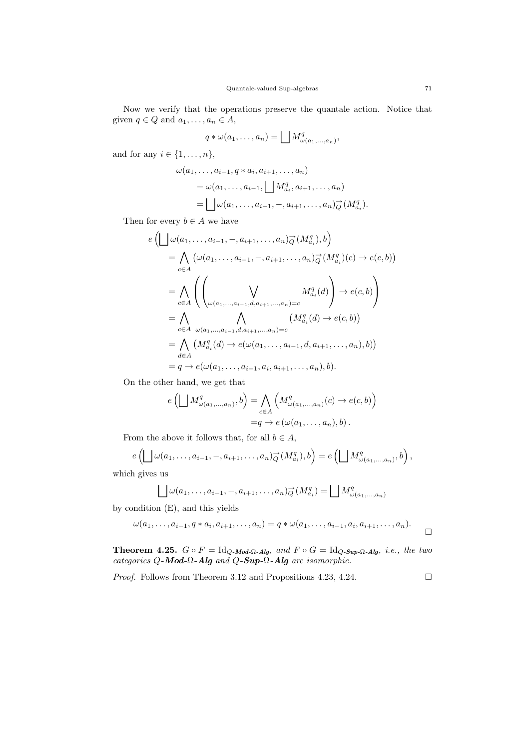Now we verify that the operations preserve the quantale action. Notice that given  $q \in Q$  and  $a_1, \ldots, a_n \in A$ ,

$$
q * \omega(a_1, \ldots, a_n) = \bigsqcup M_{\omega(a_1, \ldots, a_n)}^q,
$$

and for any  $i \in \{1, \ldots, n\},\$ 

$$
\omega(a_1, \dots, a_{i-1}, q \ast a_i, a_{i+1}, \dots, a_n)
$$
  
= 
$$
\omega(a_1, \dots, a_{i-1}, \bigsqcup M_{a_i}^q, a_{i+1}, \dots, a_n)
$$
  
= 
$$
\bigsqcup \omega(a_1, \dots, a_{i-1}, -, a_{i+1}, \dots, a_n) \overrightarrow{Q}(M_{a_i}^q).
$$

Then for every  $b \in A$  we have

$$
e\left(\bigsqcup_{\omega}(a_{1},...,a_{i-1},-,a_{i+1},...,a_{n})_{Q}^{-}(M_{a_{i}}^{q}),b\right)
$$
\n
$$
=\bigwedge_{c\in A}\left(\omega(a_{1},...,a_{i-1},-,a_{i+1},...,a_{n})_{Q}^{-}(M_{a_{i}}^{q})(c)\to e(c,b)\right)
$$
\n
$$
=\bigwedge_{c\in A}\left(\left(\bigvee_{\omega(a_{1},...,a_{i-1},d,a_{i+1},...,a_{n})=c}M_{a_{i}}^{q}(d)\right)\to e(c,b)\right)
$$
\n
$$
=\bigwedge_{c\in A}\bigwedge_{\omega(a_{1},...,a_{i-1},d,a_{i+1},...,a_{n})=c}\left(M_{a_{i}}^{q}(d)\to e(c,b)\right)
$$
\n
$$
=\bigwedge_{d\in A}\left(M_{a_{i}}^{q}(d)\to e(\omega(a_{1},...,a_{i-1},d,a_{i+1},...,a_{n}),b)\right)
$$
\n
$$
=q\to e(\omega(a_{1},...,a_{i-1},a_{i},a_{i+1},...,a_{n}),b).
$$

On the other hand, we get that

$$
e\left(\bigsqcup M^q_{\omega(a_1,\dots,a_n)},b\right) = \bigwedge_{c \in A} \left(M^q_{\omega(a_1,\dots,a_n)}(c) \to e(c,b)\right)
$$

$$
=q \to e\left(\omega(a_1,\dots,a_n),b\right).
$$

From the above it follows that, for all  $b \in A$ ,

$$
e\left(\bigsqcup \omega(a_1,\ldots,a_{i-1},-,a_{i+1},\ldots,a_n)\overrightarrow{Q}(M_{a_i}^q),b\right)=e\left(\bigsqcup M_{\omega(a_1,\ldots,a_n)}^q,b\right),
$$

which gives us

$$
\bigsqcup \omega(a_1,\ldots,a_{i-1},-,a_{i+1},\ldots,a_n)_{Q}^{\rightarrow}(M_{a_i}^q) = \bigsqcup M_{\omega(a_1,\ldots,a_n)}^q
$$

by condition (E), and this yields

$$
\omega(a_1, ..., a_{i-1}, q * a_i, a_{i+1}, ..., a_n) = q * \omega(a_1, ..., a_{i-1}, a_i, a_{i+1}, ..., a_n).
$$

**Theorem 4.25.**  $G \circ F = \text{Id}_{Q\text{-Mod}\Omega\text{-}Alg}$ , and  $F \circ G = \text{Id}_{Q\text{-}Sup\text{-}\Omega\text{-}Alg}$ , i.e., the two categories Q-Mod- $\Omega$ -Alg and Q-Sup- $\Omega$ -Alg are isomorphic.

*Proof.* Follows from Theorem 3.12 and Propositions 4.23, 4.24.  $\Box$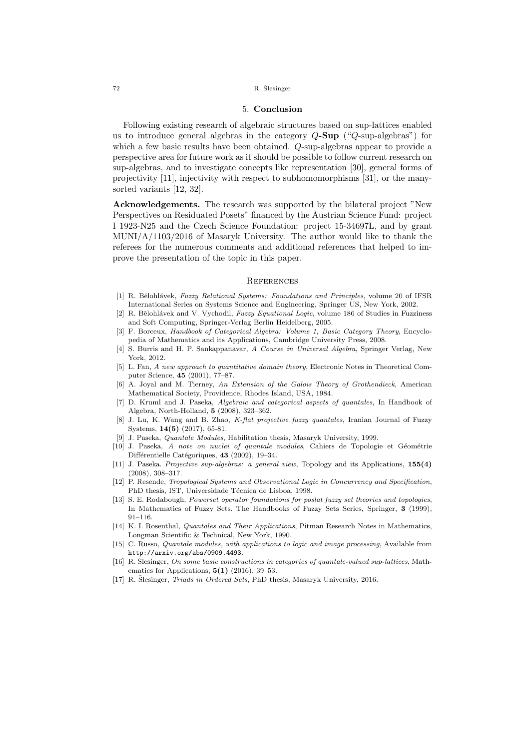### 5. Conclusion

Following existing research of algebraic structures based on sup-lattices enabled us to introduce general algebras in the category  $Q-Sup$  (" $Q$ -sup-algebras") for which a few basic results have been obtained. Q-sup-algebras appear to provide a perspective area for future work as it should be possible to follow current research on sup-algebras, and to investigate concepts like representation [30], general forms of projectivity [11], injectivity with respect to subhomomorphisms [31], or the manysorted variants [12, 32].

Acknowledgements. The research was supported by the bilateral project "New Perspectives on Residuated Posets" financed by the Austrian Science Fund: project I 1923-N25 and the Czech Science Foundation: project 15-34697L, and by grant  $MUNI/A/1103/2016$  of Masaryk University. The author would like to thank the referees for the numerous comments and additional references that helped to improve the presentation of the topic in this paper.

#### **REFERENCES**

- [1] R. Bělohlávek, Fuzzy Relational Systems: Foundations and Principles, volume 20 of IFSR International Series on Systems Science and Engineering, Springer US, New York, 2002.
- [2] R. Bělohlávek and V. Vychodil, Fuzzy Equational Logic, volume 186 of Studies in Fuzziness and Soft Computing, Springer-Verlag Berlin Heidelberg, 2005.
- [3] F. Borceux, Handbook of Categorical Algebra: Volume 1, Basic Category Theory, Encyclopedia of Mathematics and its Applications, Cambridge University Press, 2008.
- [4] S. Burris and H. P. Sankappanavar, A Course in Universal Algebra, Springer Verlag, New York, 2012.
- [5] L. Fan, A new approach to quantitative domain theory, Electronic Notes in Theoretical Computer Science, 45 (2001), 77–87.
- [6] A. Joyal and M. Tierney, An Extension of the Galois Theory of Grothendieck, American Mathematical Society, Providence, Rhodes Island, USA, 1984.
- [7] D. Kruml and J. Paseka, Algebraic and categorical aspects of quantales, In Handbook of Algebra, North-Holland, 5 (2008), 323–362.
- [8] J. Lu, K. Wang and B. Zhao, K-flat projective fuzzy quantales, Iranian Journal of Fuzzy Systems, 14(5) (2017), 65-81.
- [9] J. Paseka, Quantale Modules, Habilitation thesis, Masaryk University, 1999.
- [10] J. Paseka, A note on nuclei of quantale modules, Cahiers de Topologie et Géométrie Différentielle Catégoriques, 43 (2002), 19–34.
- [11] J. Paseka. Projective sup-algebras: a general view, Topology and its Applications, 155(4) (2008), 308–317.
- [12] P. Resende, *Tropological Systems and Observational Logic in Concurrency and Specification*, PhD thesis, IST, Universidade Técnica de Lisboa, 1998.
- [13] S. E. Rodabough, Powerset operator foundations for poslat fuzzy set theories and topologies, In Mathematics of Fuzzy Sets. The Handbooks of Fuzzy Sets Series, Springer, 3 (1999), 91–116.
- [14] K. I. Rosenthal, *Quantales and Their Applications*, Pitman Research Notes in Mathematics, Longman Scientific & Technical, New York, 1990.
- [15] C. Russo, Quantale modules, with applications to logic and image processing, Available from http://arxiv.org/abs/0909.4493.
- [16] R. Slesinger, On some basic constructions in categories of quantale-valued sup-lattices, Mathematics for Applications,  $5(1)$  (2016), 39–53.
- [17] R. Šlesinger, *Triads in Ordered Sets*, PhD thesis, Masaryk University, 2016.